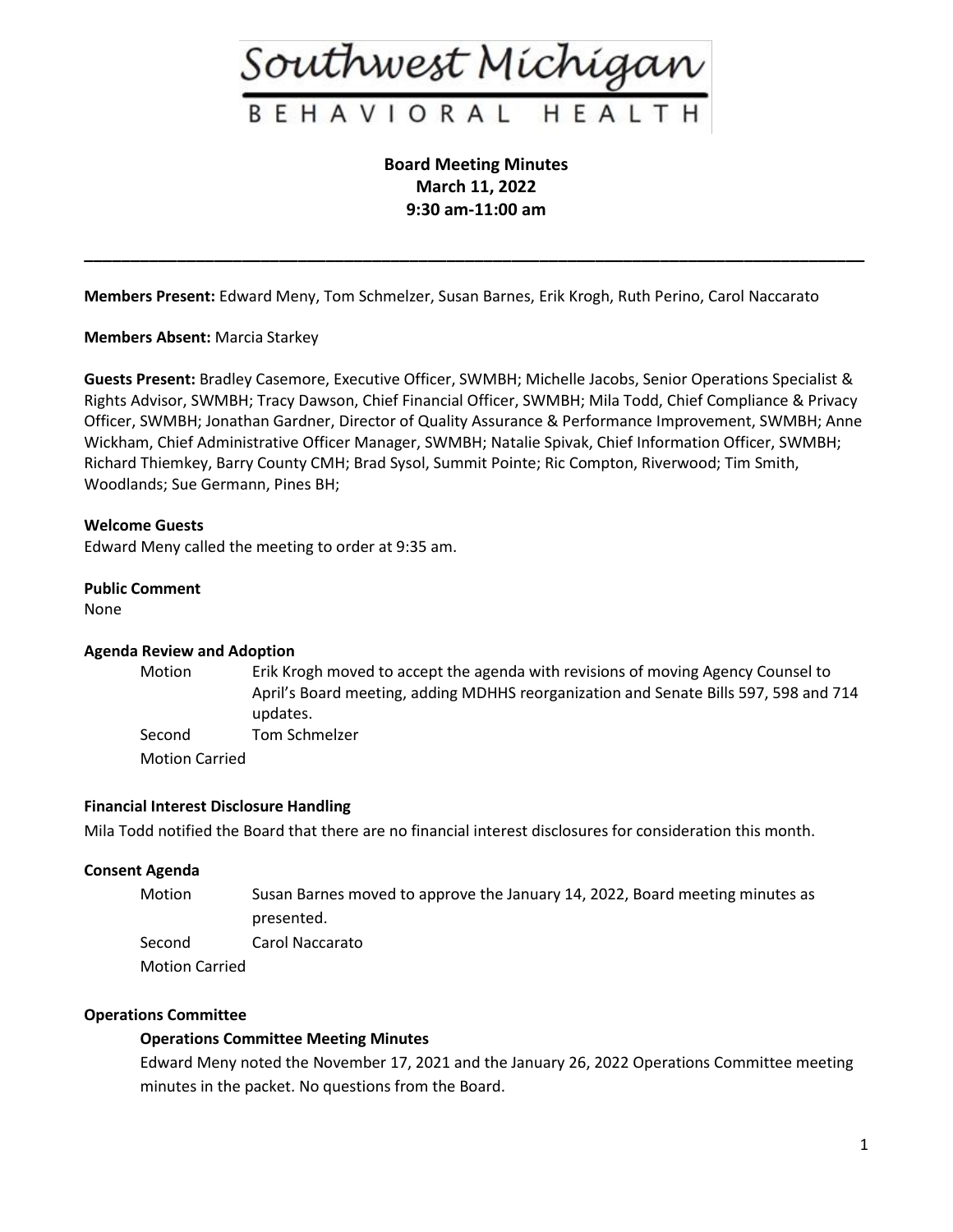

**Board Meeting Minutes March 11, 2022 9:30 am-11:00 am**

**\_\_\_\_\_\_\_\_\_\_\_\_\_\_\_\_\_\_\_\_\_\_\_\_\_\_\_\_\_\_\_\_\_\_\_\_\_\_\_\_\_\_\_\_\_\_\_\_\_\_\_\_\_\_\_\_\_\_\_\_\_\_\_\_\_\_\_\_\_\_\_\_\_\_\_\_\_\_\_\_\_\_\_\_**

**Members Present:** Edward Meny, Tom Schmelzer, Susan Barnes, Erik Krogh, Ruth Perino, Carol Naccarato

**Members Absent:** Marcia Starkey

**Guests Present:** Bradley Casemore, Executive Officer, SWMBH; Michelle Jacobs, Senior Operations Specialist & Rights Advisor, SWMBH; Tracy Dawson, Chief Financial Officer, SWMBH; Mila Todd, Chief Compliance & Privacy Officer, SWMBH; Jonathan Gardner, Director of Quality Assurance & Performance Improvement, SWMBH; Anne Wickham, Chief Administrative Officer Manager, SWMBH; Natalie Spivak, Chief Information Officer, SWMBH; Richard Thiemkey, Barry County CMH; Brad Sysol, Summit Pointe; Ric Compton, Riverwood; Tim Smith, Woodlands; Sue Germann, Pines BH;

## **Welcome Guests**

Edward Meny called the meeting to order at 9:35 am.

#### **Public Comment**

None

### **Agenda Review and Adoption**

Motion Erik Krogh moved to accept the agenda with revisions of moving Agency Counsel to April's Board meeting, adding MDHHS reorganization and Senate Bills 597, 598 and 714 updates. Second Tom Schmelzer

Motion Carried

### **Financial Interest Disclosure Handling**

Mila Todd notified the Board that there are no financial interest disclosures for consideration this month.

#### **Consent Agenda**

| Motion                | Susan Barnes moved to approve the January 14, 2022, Board meeting minutes as |
|-----------------------|------------------------------------------------------------------------------|
|                       | presented.                                                                   |
| Second                | Carol Naccarato                                                              |
| <b>Motion Carried</b> |                                                                              |

#### **Operations Committee**

#### **Operations Committee Meeting Minutes**

Edward Meny noted the November 17, 2021 and the January 26, 2022 Operations Committee meeting minutes in the packet. No questions from the Board.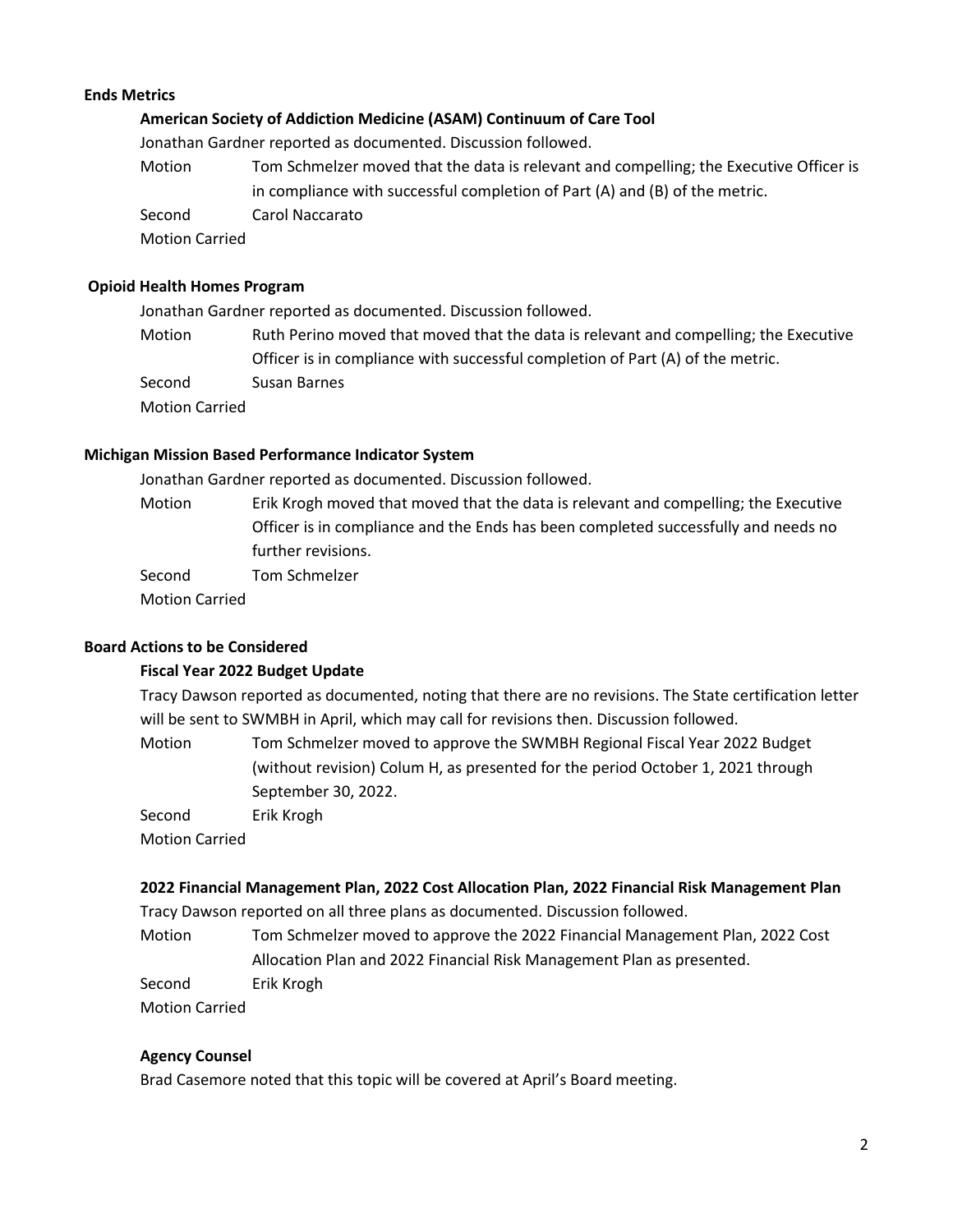# **Ends Metrics**

## **American Society of Addiction Medicine (ASAM) Continuum of Care Tool**

Jonathan Gardner reported as documented. Discussion followed.

Motion Tom Schmelzer moved that the data is relevant and compelling; the Executive Officer is in compliance with successful completion of Part (A) and (B) of the metric. Second Carol Naccarato Motion Carried

### **Opioid Health Homes Program**

Jonathan Gardner reported as documented. Discussion followed.

Motion Ruth Perino moved that moved that the data is relevant and compelling; the Executive Officer is in compliance with successful completion of Part (A) of the metric. Second Susan Barnes Motion Carried

#### **Michigan Mission Based Performance Indicator System**

Jonathan Gardner reported as documented. Discussion followed.

Motion Erik Krogh moved that moved that the data is relevant and compelling; the Executive Officer is in compliance and the Ends has been completed successfully and needs no further revisions.

Second Tom Schmelzer

Motion Carried

## **Board Actions to be Considered**

### **Fiscal Year 2022 Budget Update**

Tracy Dawson reported as documented, noting that there are no revisions. The State certification letter will be sent to SWMBH in April, which may call for revisions then. Discussion followed.

Motion Tom Schmelzer moved to approve the SWMBH Regional Fiscal Year 2022 Budget (without revision) Colum H, as presented for the period October 1, 2021 through September 30, 2022.

Second Erik Krogh

Motion Carried

# **2022 Financial Management Plan, 2022 Cost Allocation Plan, 2022 Financial Risk Management Plan**

Tracy Dawson reported on all three plans as documented. Discussion followed.

Motion Tom Schmelzer moved to approve the 2022 Financial Management Plan, 2022 Cost Allocation Plan and 2022 Financial Risk Management Plan as presented.

Second Erik Krogh

Motion Carried

### **Agency Counsel**

Brad Casemore noted that this topic will be covered at April's Board meeting.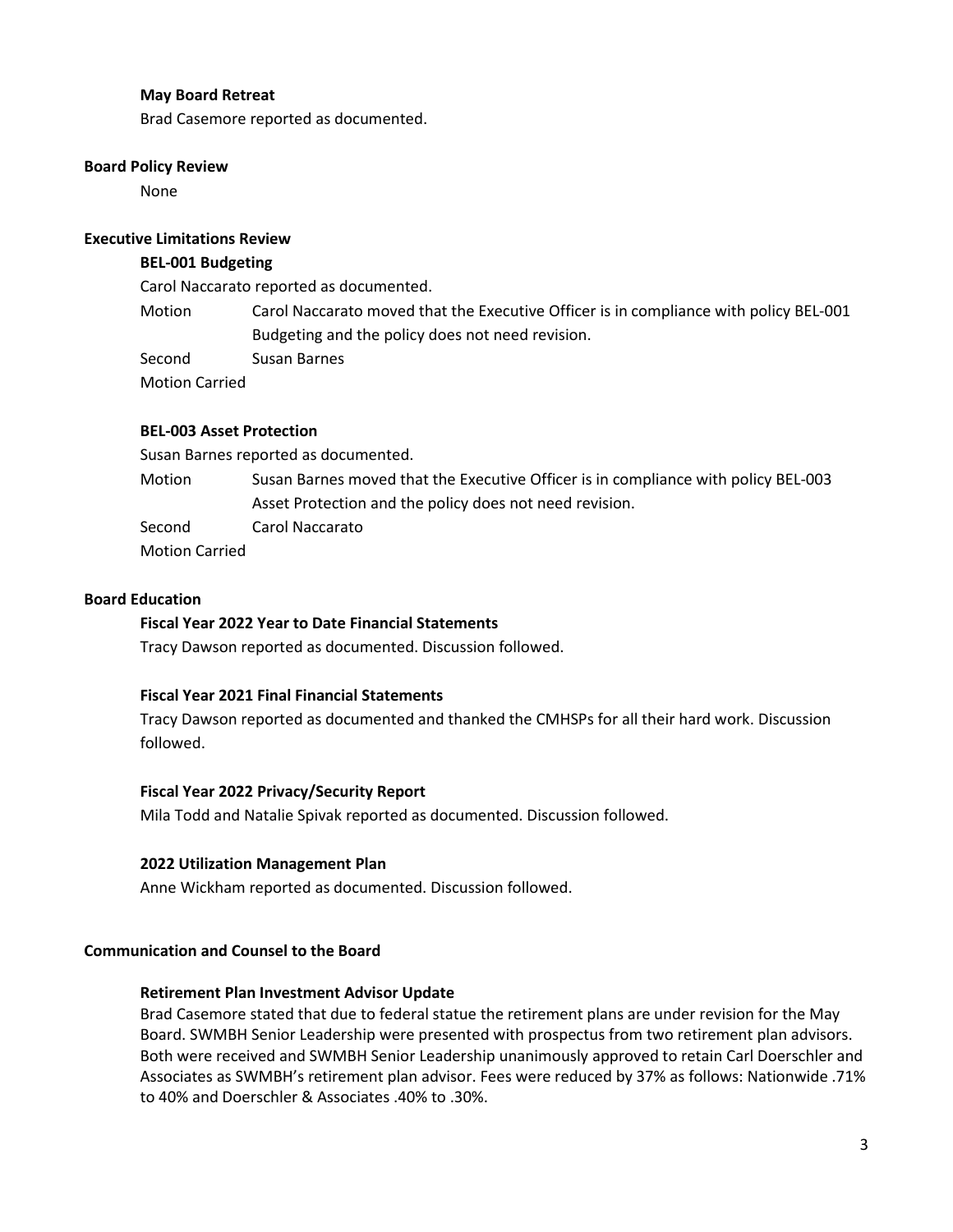## **May Board Retreat**

Brad Casemore reported as documented.

### **Board Policy Review**

None

## **Executive Limitations Review**

## **BEL-001 Budgeting**

Carol Naccarato reported as documented.

Motion Carol Naccarato moved that the Executive Officer is in compliance with policy BEL-001 Budgeting and the policy does not need revision.

Second Susan Barnes

Motion Carried

## **BEL-003 Asset Protection**

Susan Barnes reported as documented.

Motion Susan Barnes moved that the Executive Officer is in compliance with policy BEL-003 Asset Protection and the policy does not need revision.

Second Carol Naccarato

Motion Carried

# **Board Education**

### **Fiscal Year 2022 Year to Date Financial Statements**

Tracy Dawson reported as documented. Discussion followed.

#### **Fiscal Year 2021 Final Financial Statements**

Tracy Dawson reported as documented and thanked the CMHSPs for all their hard work. Discussion followed.

# **Fiscal Year 2022 Privacy/Security Report**

Mila Todd and Natalie Spivak reported as documented. Discussion followed.

#### **2022 Utilization Management Plan**

Anne Wickham reported as documented. Discussion followed.

## **Communication and Counsel to the Board**

## **Retirement Plan Investment Advisor Update**

Brad Casemore stated that due to federal statue the retirement plans are under revision for the May Board. SWMBH Senior Leadership were presented with prospectus from two retirement plan advisors. Both were received and SWMBH Senior Leadership unanimously approved to retain Carl Doerschler and Associates as SWMBH's retirement plan advisor. Fees were reduced by 37% as follows: Nationwide .71% to 40% and Doerschler & Associates .40% to .30%.